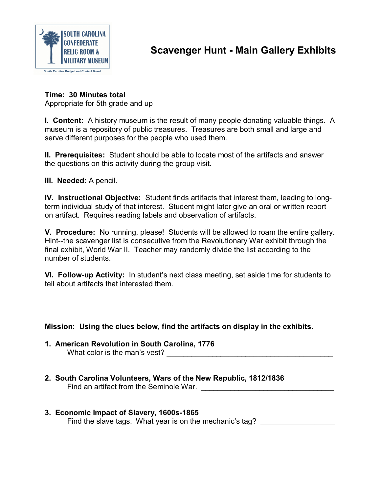

**Time: 30 Minutes total** Appropriate for 5th grade and up

**I. Content:** A history museum is the result of many people donating valuable things. A museum is a repository of public treasures. Treasures are both small and large and serve different purposes for the people who used them.

**II. Prerequisites:** Student should be able to locate most of the artifacts and answer the questions on this activity during the group visit.

**III. Needed:** A pencil.

**IV. Instructional Objective:** Student finds artifacts that interest them, leading to longterm individual study of that interest. Student might later give an oral or written report on artifact. Requires reading labels and observation of artifacts.

**V. Procedure:** No running, please! Students will be allowed to roam the entire gallery. Hint--the scavenger list is consecutive from the Revolutionary War exhibit through the final exhibit, World War II. Teacher may randomly divide the list according to the number of students.

**VI. Follow-up Activity:** In student's next class meeting, set aside time for students to tell about artifacts that interested them.

# **Mission: Using the clues below, find the artifacts on display in the exhibits.**

- **1. American Revolution in South Carolina, 1776** What color is the man's vest?
- **2. South Carolina Volunteers, Wars of the New Republic, 1812/1836** Find an artifact from the Seminole War.

#### **3. Economic Impact of Slavery, 1600s-1865** Find the slave tags. What year is on the mechanic's tag?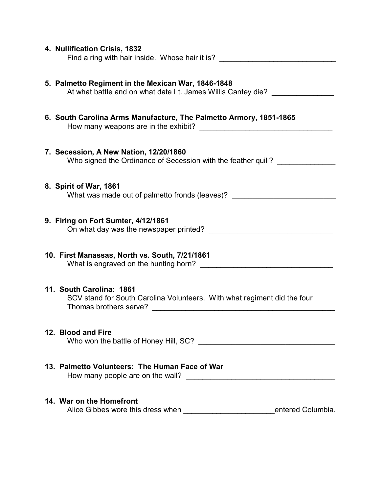| 4. Nullification Crisis, 1832<br>Find a ring with hair inside. Whose hair it is? ________________________________                                                                                                   |  |
|---------------------------------------------------------------------------------------------------------------------------------------------------------------------------------------------------------------------|--|
| 5. Palmetto Regiment in the Mexican War, 1846-1848<br>At what battle and on what date Lt. James Willis Cantey die?                                                                                                  |  |
| 6. South Carolina Arms Manufacture, The Palmetto Armory, 1851-1865                                                                                                                                                  |  |
| 7. Secession, A New Nation, 12/20/1860<br>Who signed the Ordinance of Secession with the feather quill?                                                                                                             |  |
| 8. Spirit of War, 1861<br>What was made out of palmetto fronds (leaves)? _________________________________                                                                                                          |  |
| 9. Firing on Fort Sumter, 4/12/1861                                                                                                                                                                                 |  |
| 10. First Manassas, North vs. South, 7/21/1861<br>What is engraved on the hunting horn?                                                                                                                             |  |
| 11. South Carolina: 1861<br>SCV stand for South Carolina Volunteers. With what regiment did the four<br>Thomas brothers serve?<br><u> 1980 - Jan Barbara, martxa a shekara 1980 - André Santa Barbara, mashrida</u> |  |
| 12. Blood and Fire                                                                                                                                                                                                  |  |
| 13. Palmetto Volunteers: The Human Face of War                                                                                                                                                                      |  |
| 14. War on the Homefront<br>Alice Gibbes wore this dress when __________________________________entered Columbia.                                                                                                   |  |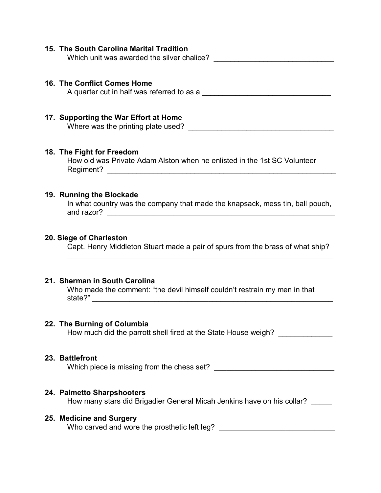# **15. The South Carolina Marital Tradition**

Which unit was awarded the silver chalice?

## **16. The Conflict Comes Home**

A quarter cut in half was referred to as a \_\_\_\_\_\_\_\_\_\_\_\_\_\_\_\_\_\_\_\_\_\_\_\_\_\_\_\_\_\_\_

# **17. Supporting the War Effort at Home**

Where was the printing plate used?

## **18. The Fight for Freedom**

How old was Private Adam Alston when he enlisted in the 1st SC Volunteer Regiment? \_\_\_\_\_\_\_\_\_\_\_\_\_\_\_\_\_\_\_\_\_\_\_\_\_\_\_\_\_\_\_\_\_\_\_\_\_\_\_\_\_\_\_\_\_\_\_\_\_\_\_\_\_\_\_

#### **19. Running the Blockade**

In what country was the company that made the knapsack, mess tin, ball pouch, and razor? \_\_\_\_\_\_\_\_\_\_\_\_\_\_\_\_\_\_\_\_\_\_\_\_\_\_\_\_\_\_\_\_\_\_\_\_\_\_\_\_\_\_\_\_\_\_\_\_\_\_\_\_\_\_\_

## **20. Siege of Charleston**

Capt. Henry Middleton Stuart made a pair of spurs from the brass of what ship?

 $\mathcal{L}_\text{max}$  , and the contract of the contract of the contract of the contract of the contract of the contract of the contract of the contract of the contract of the contract of the contract of the contract of the contr

#### **21. Sherman in South Carolina**

Who made the comment: "the devil himself couldn't restrain my men in that state?" \_\_\_\_\_\_\_\_\_\_\_\_\_\_\_\_\_\_\_\_\_\_\_\_\_\_\_\_\_\_\_\_\_\_\_\_\_\_\_\_\_\_\_\_\_\_\_\_\_\_\_\_\_\_\_\_\_\_

#### **22. The Burning of Columbia**

How much did the parrott shell fired at the State House weigh?

#### **23. Battlefront**

Which piece is missing from the chess set? \_\_\_\_\_\_\_\_\_\_\_\_\_\_\_\_\_\_\_\_\_\_\_\_\_\_\_\_\_

#### **24. Palmetto Sharpshooters**

How many stars did Brigadier General Micah Jenkins have on his collar? \_\_\_\_\_

#### **25. Medicine and Surgery**

Who carved and wore the prosthetic left leg? **Who carved and wore the prosthetic left leg?**